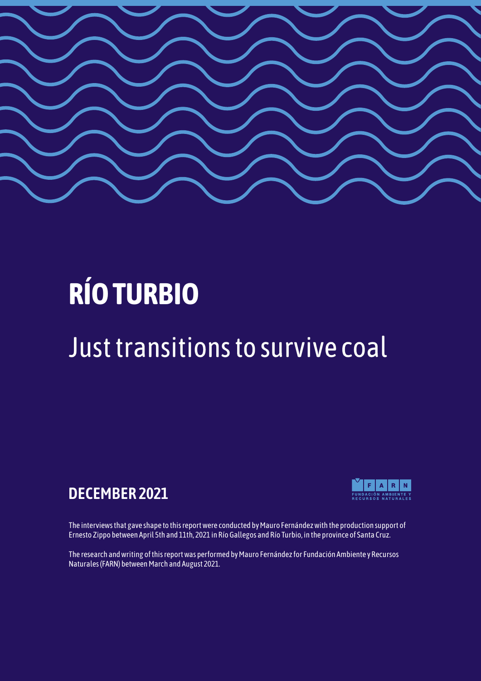

# **RÍO TURBIO**

# Just transitions to survive coal

# **DECEMBER 2021**



The interviews that gave shape to this report were conducted by Mauro Fernández with the production support of Ernesto Zippo between April 5th and 11th, 2021 in Río Gallegos and Río Turbio, in the province of Santa Cruz.

The research and writing of this report was performed by Mauro Fernández for Fundación Ambiente y Recursos Naturales (FARN) between March and August 2021.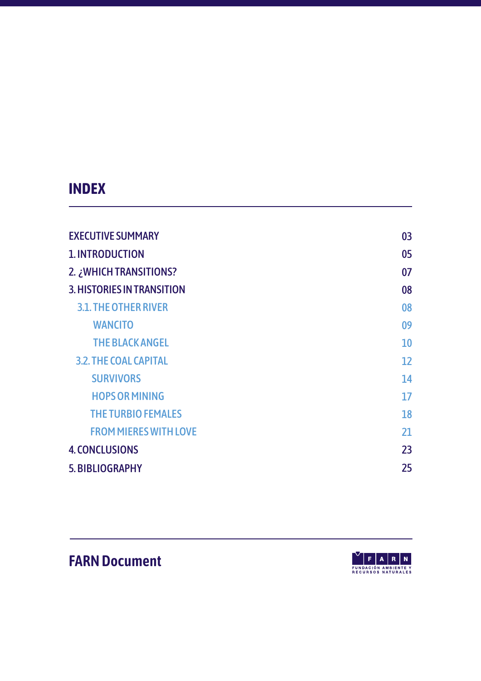### **INDEX**

| <b>EXECUTIVE SUMMARY</b>     | 03 |
|------------------------------|----|
| <b>1. INTRODUCTION</b>       | 05 |
| 2. ¿WHICH TRANSITIONS?       | 07 |
| 3. HISTORIES IN TRANSITION   | 08 |
| <b>3.1. THE OTHER RIVER</b>  | 08 |
| <b>WANCITO</b>               | 09 |
| <b>THE BLACK ANGEL</b>       | 10 |
| <b>3.2. THE COAL CAPITAL</b> | 12 |
| <b>SURVIVORS</b>             | 14 |
| <b>HOPS OR MINING</b>        | 17 |
| <b>THE TURBIO FEMALES</b>    | 18 |
| <b>FROM MIERES WITH LOVE</b> | 21 |
| <b>4. CONCLUSIONS</b>        | 23 |
| 5. BIBLIOGRAPHY              | 25 |

# **FARN Document**

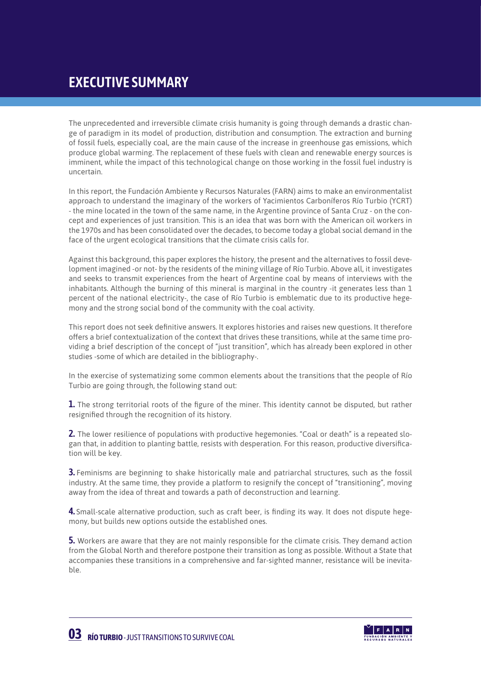### **EXECUTIVE SUMMARY**

The unprecedented and irreversible climate crisis humanity is going through demands a drastic change of paradigm in its model of production, distribution and consumption. The extraction and burning of fossil fuels, especially coal, are the main cause of the increase in greenhouse gas emissions, which produce global warming. The replacement of these fuels with clean and renewable energy sources is imminent, while the impact of this technological change on those working in the fossil fuel industry is uncertain.

In this report, the Fundación Ambiente y Recursos Naturales (FARN) aims to make an environmentalist approach to understand the imaginary of the workers of Yacimientos Carboníferos Río Turbio (YCRT) - the mine located in the town of the same name, in the Argentine province of Santa Cruz - on the concept and experiences of just transition. This is an idea that was born with the American oil workers in the 1970s and has been consolidated over the decades, to become today a global social demand in the face of the urgent ecological transitions that the climate crisis calls for.

Against this background, this paper explores the history, the present and the alternatives to fossil development imagined -or not- by the residents of the mining village of Río Turbio. Above all, it investigates and seeks to transmit experiences from the heart of Argentine coal by means of interviews with the inhabitants. Although the burning of this mineral is marginal in the country -it generates less than 1 percent of the national electricity-, the case of Río Turbio is emblematic due to its productive hegemony and the strong social bond of the community with the coal activity.

This report does not seek definitive answers. It explores histories and raises new questions. It therefore offers a brief contextualization of the context that drives these transitions, while at the same time providing a brief description of the concept of "just transition", which has already been explored in other studies -some of which are detailed in the bibliography-.

In the exercise of systematizing some common elements about the transitions that the people of Río Turbio are going through, the following stand out:

**1.** The strong territorial roots of the figure of the miner. This identity cannot be disputed, but rather resignified through the recognition of its history.

**2.** The lower resilience of populations with productive hegemonies. "Coal or death" is a repeated slogan that, in addition to planting battle, resists with desperation. For this reason, productive diversification will be key.

**3.** Feminisms are beginning to shake historically male and patriarchal structures, such as the fossil industry. At the same time, they provide a platform to resignify the concept of "transitioning", moving away from the idea of threat and towards a path of deconstruction and learning.

**4.** Small-scale alternative production, such as craft beer, is finding its way. It does not dispute hegemony, but builds new options outside the established ones.

**5.** Workers are aware that they are not mainly responsible for the climate crisis. They demand action from the Global North and therefore postpone their transition as long as possible. Without a State that accompanies these transitions in a comprehensive and far-sighted manner, resistance will be inevitable.

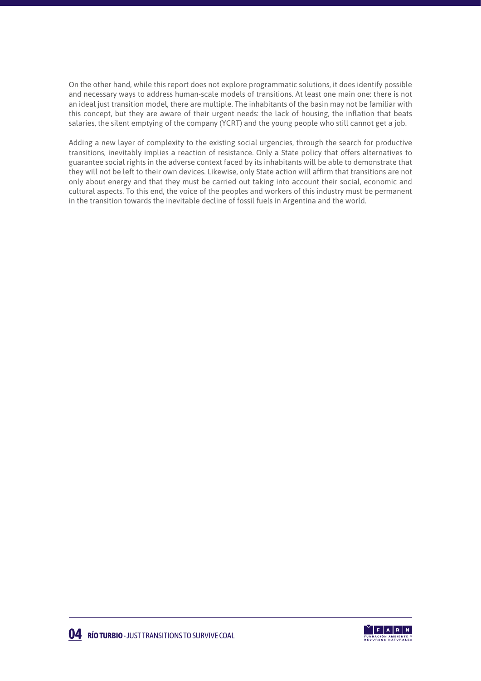On the other hand, while this report does not explore programmatic solutions, it does identify possible and necessary ways to address human-scale models of transitions. At least one main one: there is not an ideal just transition model, there are multiple. The inhabitants of the basin may not be familiar with this concept, but they are aware of their urgent needs: the lack of housing, the inflation that beats salaries, the silent emptying of the company (YCRT) and the young people who still cannot get a job.

Adding a new layer of complexity to the existing social urgencies, through the search for productive transitions, inevitably implies a reaction of resistance. Only a State policy that offers alternatives to guarantee social rights in the adverse context faced by its inhabitants will be able to demonstrate that they will not be left to their own devices. Likewise, only State action will affirm that transitions are not only about energy and that they must be carried out taking into account their social, economic and cultural aspects. To this end, the voice of the peoples and workers of this industry must be permanent in the transition towards the inevitable decline of fossil fuels in Argentina and the world.

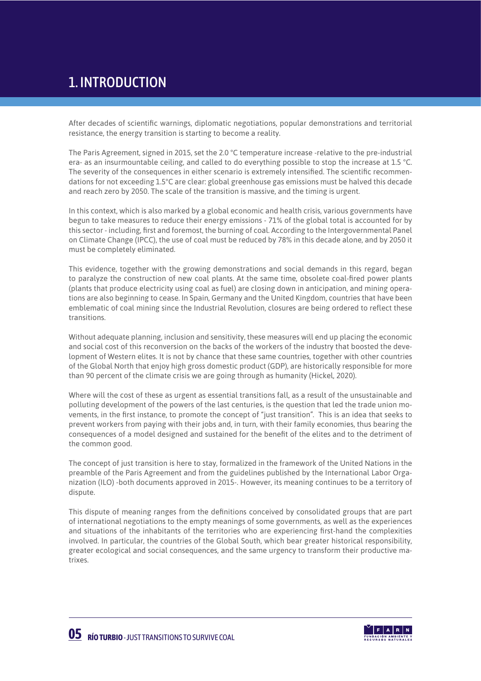# 1. INTRODUCTION

After decades of scientific warnings, diplomatic negotiations, popular demonstrations and territorial resistance, the energy transition is starting to become a reality.

The Paris Agreement, signed in 2015, set the 2.0 °C temperature increase -relative to the pre-industrial era- as an insurmountable ceiling, and called to do everything possible to stop the increase at 1.5 °C. The severity of the consequences in either scenario is extremely intensified. The scientific recommendations for not exceeding 1.5°C are clear: global greenhouse gas emissions must be halved this decade and reach zero by 2050. The scale of the transition is massive, and the timing is urgent.

In this context, which is also marked by a global economic and health crisis, various governments have begun to take measures to reduce their energy emissions - 71% of the global total is accounted for by this sector - including, first and foremost, the burning of coal. According to the Intergovernmental Panel on Climate Change (IPCC), the use of coal must be reduced by 78% in this decade alone, and by 2050 it must be completely eliminated.

This evidence, together with the growing demonstrations and social demands in this regard, began to paralyze the construction of new coal plants. At the same time, obsolete coal-fired power plants (plants that produce electricity using coal as fuel) are closing down in anticipation, and mining operations are also beginning to cease. In Spain, Germany and the United Kingdom, countries that have been emblematic of coal mining since the Industrial Revolution, closures are being ordered to reflect these transitions.

Without adequate planning, inclusion and sensitivity, these measures will end up placing the economic and social cost of this reconversion on the backs of the workers of the industry that boosted the development of Western elites. It is not by chance that these same countries, together with other countries of the Global North that enjoy high gross domestic product (GDP), are historically responsible for more than 90 percent of the climate crisis we are going through as humanity (Hickel, 2020).

Where will the cost of these as urgent as essential transitions fall, as a result of the unsustainable and polluting development of the powers of the last centuries, is the question that led the trade union movements, in the first instance, to promote the concept of "just transition". This is an idea that seeks to prevent workers from paying with their jobs and, in turn, with their family economies, thus bearing the consequences of a model designed and sustained for the benefit of the elites and to the detriment of the common good.

The concept of just transition is here to stay, formalized in the framework of the United Nations in the preamble of the Paris Agreement and from the guidelines published by the International Labor Organization (ILO) -both documents approved in 2015-. However, its meaning continues to be a territory of dispute.

This dispute of meaning ranges from the definitions conceived by consolidated groups that are part of international negotiations to the empty meanings of some governments, as well as the experiences and situations of the inhabitants of the territories who are experiencing first-hand the complexities involved. In particular, the countries of the Global South, which bear greater historical responsibility, greater ecological and social consequences, and the same urgency to transform their productive matrixes.

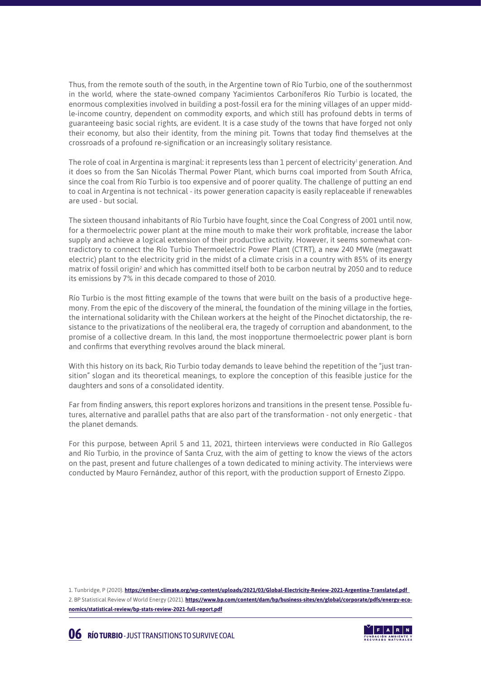Thus, from the remote south of the south, in the Argentine town of Río Turbio, one of the southernmost in the world, where the state-owned company Yacimientos Carboníferos Río Turbio is located, the enormous complexities involved in building a post-fossil era for the mining villages of an upper middle-income country, dependent on commodity exports, and which still has profound debts in terms of guaranteeing basic social rights, are evident. It is a case study of the towns that have forged not only their economy, but also their identity, from the mining pit. Towns that today find themselves at the crossroads of a profound re-signification or an increasingly solitary resistance.

The role of coal in Argentina is marginal: it represents less than 1 percent of electricity<sup>1</sup> generation. And it does so from the San Nicolás Thermal Power Plant, which burns coal imported from South Africa, since the coal from Río Turbio is too expensive and of poorer quality. The challenge of putting an end to coal in Argentina is not technical - its power generation capacity is easily replaceable if renewables are used - but social.

The sixteen thousand inhabitants of Río Turbio have fought, since the Coal Congress of 2001 until now, for a thermoelectric power plant at the mine mouth to make their work profitable, increase the labor supply and achieve a logical extension of their productive activity. However, it seems somewhat contradictory to connect the Río Turbio Thermoelectric Power Plant (CTRT), a new 240 MWe (megawatt electric) plant to the electricity grid in the midst of a climate crisis in a country with 85% of its energy matrix of fossil origin<sup>2</sup> and which has committed itself both to be carbon neutral by 2050 and to reduce its emissions by 7% in this decade compared to those of 2010.

Río Turbio is the most fitting example of the towns that were built on the basis of a productive hegemony. From the epic of the discovery of the mineral, the foundation of the mining village in the forties, the international solidarity with the Chilean workers at the height of the Pinochet dictatorship, the resistance to the privatizations of the neoliberal era, the tragedy of corruption and abandonment, to the promise of a collective dream. In this land, the most inopportune thermoelectric power plant is born and confirms that everything revolves around the black mineral.

With this history on its back, Rio Turbio today demands to leave behind the repetition of the "just transition" slogan and its theoretical meanings, to explore the conception of this feasible justice for the daughters and sons of a consolidated identity.

Far from finding answers, this report explores horizons and transitions in the present tense. Possible futures, alternative and parallel paths that are also part of the transformation - not only energetic - that the planet demands.

For this purpose, between April 5 and 11, 2021, thirteen interviews were conducted in Río Gallegos and Río Turbio, in the province of Santa Cruz, with the aim of getting to know the views of the actors on the past, present and future challenges of a town dedicated to mining activity. The interviews were conducted by Mauro Fernández, author of this report, with the production support of Ernesto Zippo.

1. Tunbridge, P (2020). **https://ember-climate.org/wp-content/uploads/2021/03/Global-Electricity-Review-2021-Argentina-Translated.pdf**  2. BP Statistical Review of World Energy (2021). **[https://www.bp.com/content/dam/bp/business-sites/en/global/corporate/pdfs/energy-eco](https://www.bp.com/content/dam/bp/business-sites/en/global/corporate/pdfs/energy-economics/statistical-review/bp-stats-review-2021-full-report.pdf)[nomics/statistical-review/bp-stats-review-2021-full-report.pdf](https://www.bp.com/content/dam/bp/business-sites/en/global/corporate/pdfs/energy-economics/statistical-review/bp-stats-review-2021-full-report.pdf)**

**06 RÍO TURBIO** - JUST TRANSITIONS TO SURVIVE COAL

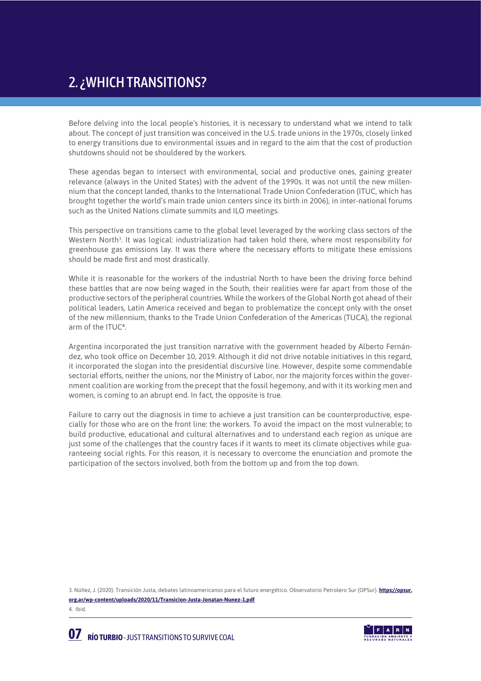# 2. ¿WHICH TRANSITIONS?

Before delving into the local people's histories, it is necessary to understand what we intend to talk about. The concept of just transition was conceived in the U.S. trade unions in the 1970s, closely linked to energy transitions due to environmental issues and in regard to the aim that the cost of production shutdowns should not be shouldered by the workers.

These agendas began to intersect with environmental, social and productive ones, gaining greater relevance (always in the United States) with the advent of the 1990s. It was not until the new millennium that the concept landed, thanks to the International Trade Union Confederation (ITUC, which has brought together the world's main trade union centers since its birth in 2006), in inter-national forums such as the United Nations climate summits and ILO meetings.

This perspective on transitions came to the global level leveraged by the working class sectors of the Western North<sup>3</sup>. It was logical: industrialization had taken hold there, where most responsibility for greenhouse gas emissions lay. It was there where the necessary efforts to mitigate these emissions should be made first and most drastically.

While it is reasonable for the workers of the industrial North to have been the driving force behind these battles that are now being waged in the South, their realities were far apart from those of the productive sectors of the peripheral countries. While the workers of the Global North got ahead of their political leaders, Latin America received and began to problematize the concept only with the onset of the new millennium, thanks to the Trade Union Confederation of the Americas (TUCA), the regional arm of the ITUC<sup>4</sup>.

Argentina incorporated the just transition narrative with the government headed by Alberto Fernández, who took office on December 10, 2019. Although it did not drive notable initiatives in this regard, it incorporated the slogan into the presidential discursive line. However, despite some commendable sectorial efforts, neither the unions, nor the Ministry of Labor, nor the majority forces within the government coalition are working from the precept that the fossil hegemony, and with it its working men and women, is coming to an abrupt end. In fact, the opposite is true.

Failure to carry out the diagnosis in time to achieve a just transition can be counterproductive, especially for those who are on the front line: the workers. To avoid the impact on the most vulnerable; to build productive, educational and cultural alternatives and to understand each region as unique are just some of the challenges that the country faces if it wants to meet its climate objectives while guaranteeing social rights. For this reason, it is necessary to overcome the enunciation and promote the participation of the sectors involved, both from the bottom up and from the top down.

3. Núñez, J. (2020). Transición Justa, debates latinoamericanos para el futuro energético. Observatorio Petrolero Sur (OPSur). **[https://opsur.](https://opsur.org.ar/wp-content/uploads/2020/11/Transicion-Justa-Jonatan-Nunez-1.pdf) [org.ar/wp-content/uploads/2020/11/Transicion-Justa-Jonatan-Nunez-1.pdf](https://opsur.org.ar/wp-content/uploads/2020/11/Transicion-Justa-Jonatan-Nunez-1.pdf)** 4. Ibid.

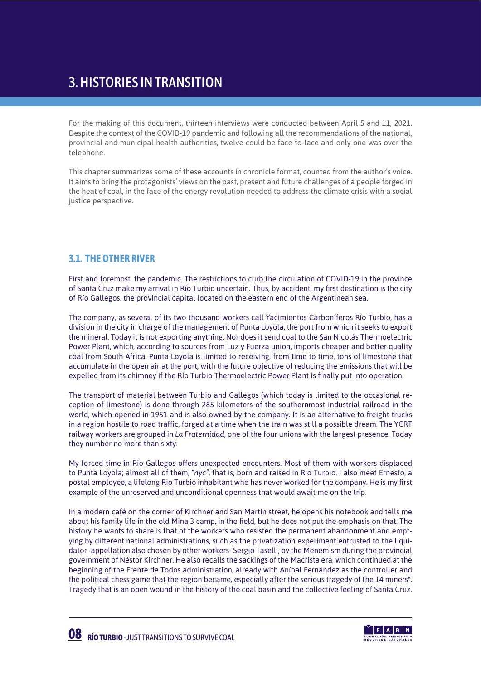### 3. HISTORIES IN TRANSITION

For the making of this document, thirteen interviews were conducted between April 5 and 11, 2021. Despite the context of the COVID-19 pandemic and following all the recommendations of the national, provincial and municipal health authorities, twelve could be face-to-face and only one was over the telephone.

This chapter summarizes some of these accounts in chronicle format, counted from the author's voice. It aims to bring the protagonists' views on the past, present and future challenges of a people forged in the heat of coal, in the face of the energy revolution needed to address the climate crisis with a social justice perspective.

#### **3.1. THE OTHER RIVER**

First and foremost, the pandemic. The restrictions to curb the circulation of COVID-19 in the province of Santa Cruz make my arrival in Río Turbio uncertain. Thus, by accident, my first destination is the city of Río Gallegos, the provincial capital located on the eastern end of the Argentinean sea.

The company, as several of its two thousand workers call Yacimientos Carboníferos Río Turbio, has a division in the city in charge of the management of Punta Loyola, the port from which it seeks to export the mineral. Today it is not exporting anything. Nor does it send coal to the San Nicolás Thermoelectric Power Plant, which, according to sources from Luz y Fuerza union, imports cheaper and better quality coal from South Africa. Punta Loyola is limited to receiving, from time to time, tons of limestone that accumulate in the open air at the port, with the future objective of reducing the emissions that will be expelled from its chimney if the Río Turbio Thermoelectric Power Plant is finally put into operation.

The transport of material between Turbio and Gallegos (which today is limited to the occasional reception of limestone) is done through 285 kilometers of the southernmost industrial railroad in the world, which opened in 1951 and is also owned by the company. It is an alternative to freight trucks in a region hostile to road traffic, forged at a time when the train was still a possible dream. The YCRT railway workers are grouped in *La Fraternidad,* one of the four unions with the largest presence. Today they number no more than sixty.

My forced time in Rio Gallegos offers unexpected encounters. Most of them with workers displaced to Punta Loyola; almost all of them, *"nyc",* that is, born and raised in Rio Turbio. I also meet Ernesto, a postal employee, a lifelong Rio Turbio inhabitant who has never worked for the company. He is my first example of the unreserved and unconditional openness that would await me on the trip.

In a modern café on the corner of Kirchner and San Martín street, he opens his notebook and tells me about his family life in the old Mina 3 camp, in the field, but he does not put the emphasis on that. The history he wants to share is that of the workers who resisted the permanent abandonment and emptying by different national administrations, such as the privatization experiment entrusted to the liquidator -appellation also chosen by other workers- Sergio Taselli, by the Menemism during the provincial government of Néstor Kirchner. He also recalls the sackings of the Macrista era, which continued at the beginning of the Frente de Todos administration, already with Aníbal Fernández as the controller and the political chess game that the region became, especially after the serious tragedy of the 14 miners<sup>5</sup>. Tragedy that is an open wound in the history of the coal basin and the collective feeling of Santa Cruz.

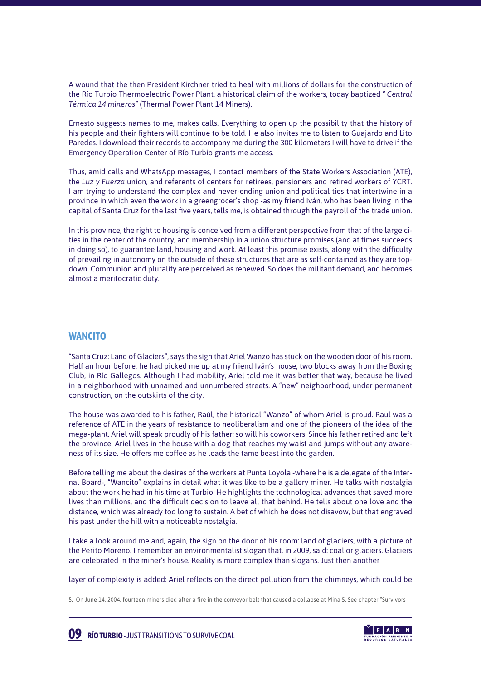A wound that the then President Kirchner tried to heal with millions of dollars for the construction of the Río Turbio Thermoelectric Power Plant, a historical claim of the workers, today baptized *" Central Térmica 14 mineros"* (Thermal Power Plant 14 Miners).

Ernesto suggests names to me, makes calls. Everything to open up the possibility that the history of his people and their fighters will continue to be told. He also invites me to listen to Guajardo and Lito Paredes. I download their records to accompany me during the 300 kilometers I will have to drive if the Emergency Operation Center of Río Turbio grants me access.

Thus, amid calls and WhatsApp messages, I contact members of the State Workers Association (ATE), the *Luz y Fuerza* union, and referents of centers for retirees, pensioners and retired workers of YCRT. I am trying to understand the complex and never-ending union and political ties that intertwine in a province in which even the work in a greengrocer's shop -as my friend Iván, who has been living in the capital of Santa Cruz for the last five years, tells me, is obtained through the payroll of the trade union.

In this province, the right to housing is conceived from a different perspective from that of the large cities in the center of the country, and membership in a union structure promises (and at times succeeds in doing so), to guarantee land, housing and work. At least this promise exists, along with the difficulty of prevailing in autonomy on the outside of these structures that are as self-contained as they are topdown. Communion and plurality are perceived as renewed. So does the militant demand, and becomes almost a meritocratic duty.

#### **WANCITO**

"Santa Cruz: Land of Glaciers", says the sign that Ariel Wanzo has stuck on the wooden door of his room. Half an hour before, he had picked me up at my friend Iván's house, two blocks away from the Boxing Club, in Río Gallegos. Although I had mobility, Ariel told me it was better that way, because he lived in a neighborhood with unnamed and unnumbered streets. A "new" neighborhood, under permanent construction, on the outskirts of the city.

The house was awarded to his father, Raúl, the historical "Wanzo" of whom Ariel is proud. Raul was a reference of ATE in the years of resistance to neoliberalism and one of the pioneers of the idea of the mega-plant. Ariel will speak proudly of his father; so will his coworkers. Since his father retired and left the province, Ariel lives in the house with a dog that reaches my waist and jumps without any awareness of its size. He offers me coffee as he leads the tame beast into the garden.

Before telling me about the desires of the workers at Punta Loyola -where he is a delegate of the Internal Board-, "Wancito" explains in detail what it was like to be a gallery miner. He talks with nostalgia about the work he had in his time at Turbio. He highlights the technological advances that saved more lives than millions, and the difficult decision to leave all that behind. He tells about one love and the distance, which was already too long to sustain. A bet of which he does not disavow, but that engraved his past under the hill with a noticeable nostalgia.

I take a look around me and, again, the sign on the door of his room: land of glaciers, with a picture of the Perito Moreno. I remember an environmentalist slogan that, in 2009, said: coal or glaciers. Glaciers are celebrated in the miner's house. Reality is more complex than slogans. Just then another

layer of complexity is added: Ariel reflects on the direct pollution from the chimneys, which could be

5. On June 14, 2004, fourteen miners died after a fire in the conveyor belt that caused a collapse at Mina 5. See chapter "Survivors



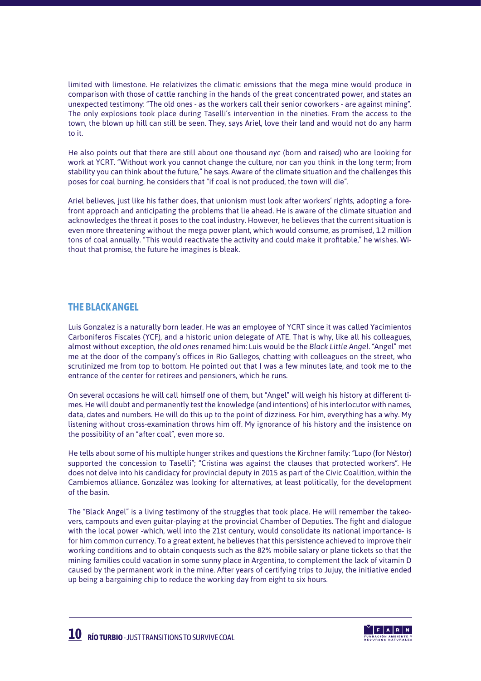limited with limestone. He relativizes the climatic emissions that the mega mine would produce in comparison with those of cattle ranching in the hands of the great concentrated power, and states an unexpected testimony: "The old ones - as the workers call their senior coworkers - are against mining". The only explosions took place during Taselli's intervention in the nineties. From the access to the town, the blown up hill can still be seen. They, says Ariel, love their land and would not do any harm to it.

He also points out that there are still about one thousand *nyc* (born and raised) who are looking for work at YCRT. "Without work you cannot change the culture, nor can you think in the long term; from stability you can think about the future," he says. Aware of the climate situation and the challenges this poses for coal burning, he considers that "if coal is not produced, the town will die".

Ariel believes, just like his father does, that unionism must look after workers' rights, adopting a forefront approach and anticipating the problems that lie ahead. He is aware of the climate situation and acknowledges the threat it poses to the coal industry. However, he believes that the current situation is even more threatening without the mega power plant, which would consume, as promised, 1.2 million tons of coal annually. "This would reactivate the activity and could make it profitable," he wishes. Without that promise, the future he imagines is bleak.

#### **THE BLACK ANGEL**

Luis Gonzalez is a naturally born leader. He was an employee of YCRT since it was called Yacimientos Carboniferos Fiscales (YCF), and a historic union delegate of ATE. That is why, like all his colleagues, almost without exception, *the old ones* renamed him: Luis would be the *Black Little Angel*. "Angel" met me at the door of the company's offices in Rio Gallegos, chatting with colleagues on the street, who scrutinized me from top to bottom. He pointed out that I was a few minutes late, and took me to the entrance of the center for retirees and pensioners, which he runs.

On several occasions he will call himself one of them, but "Angel" will weigh his history at different times. He will doubt and permanently test the knowledge (and intentions) of his interlocutor with names, data, dates and numbers. He will do this up to the point of dizziness. For him, everything has a why. My listening without cross-examination throws him off. My ignorance of his history and the insistence on the possibility of an "after coal", even more so.

He tells about some of his multiple hunger strikes and questions the Kirchner family: *"Lupo* (for Néstor) supported the concession to Taselli"; "Cristina was against the clauses that protected workers". He does not delve into his candidacy for provincial deputy in 2015 as part of the Civic Coalition, within the Cambiemos alliance. González was looking for alternatives, at least politically, for the development of the basin.

The "Black Angel" is a living testimony of the struggles that took place. He will remember the takeovers, campouts and even guitar-playing at the provincial Chamber of Deputies. The fight and dialogue with the local power -which, well into the 21st century, would consolidate its national importance- is for him common currency. To a great extent, he believes that this persistence achieved to improve their working conditions and to obtain conquests such as the 82% mobile salary or plane tickets so that the mining families could vacation in some sunny place in Argentina, to complement the lack of vitamin D caused by the permanent work in the mine. After years of certifying trips to Jujuy, the initiative ended up being a bargaining chip to reduce the working day from eight to six hours.

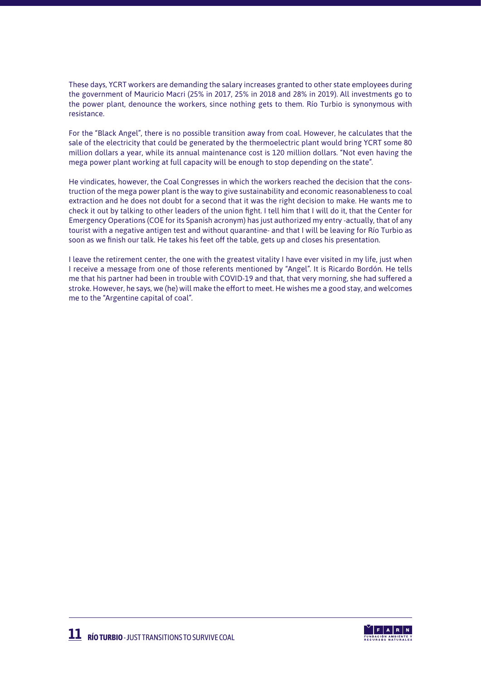These days, YCRT workers are demanding the salary increases granted to other state employees during the government of Mauricio Macri (25% in 2017, 25% in 2018 and 28% in 2019). All investments go to the power plant, denounce the workers, since nothing gets to them. Río Turbio is synonymous with resistance.

For the "Black Angel", there is no possible transition away from coal. However, he calculates that the sale of the electricity that could be generated by the thermoelectric plant would bring YCRT some 80 million dollars a year, while its annual maintenance cost is 120 million dollars. "Not even having the mega power plant working at full capacity will be enough to stop depending on the state".

He vindicates, however, the Coal Congresses in which the workers reached the decision that the construction of the mega power plant is the way to give sustainability and economic reasonableness to coal extraction and he does not doubt for a second that it was the right decision to make. He wants me to check it out by talking to other leaders of the union fight. I tell him that I will do it, that the Center for Emergency Operations (COE for its Spanish acronym) has just authorized my entry -actually, that of any tourist with a negative antigen test and without quarantine- and that I will be leaving for Río Turbio as soon as we finish our talk. He takes his feet off the table, gets up and closes his presentation.

I leave the retirement center, the one with the greatest vitality I have ever visited in my life, just when I receive a message from one of those referents mentioned by "Angel". It is Ricardo Bordón. He tells me that his partner had been in trouble with COVID-19 and that, that very morning, she had suffered a stroke. However, he says, we (he) will make the effort to meet. He wishes me a good stay, and welcomes me to the "Argentine capital of coal".

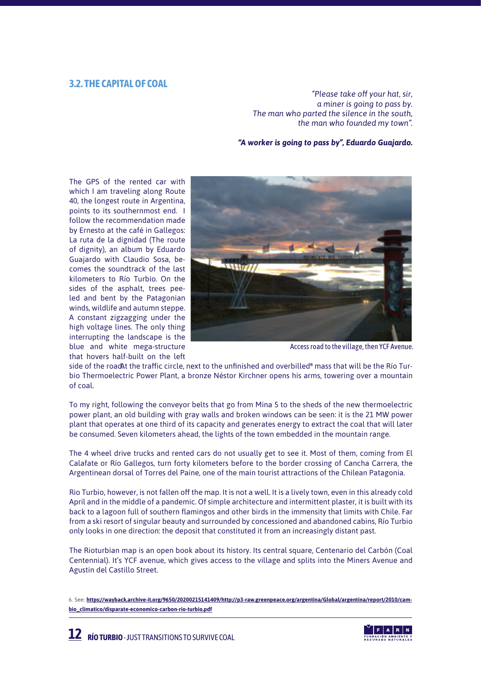#### **3.2. THE CAPITAL OF COAL**

*"Please take off your hat, sir, a miner is going to pass by. The man who parted the silence in the south, the man who founded my town".*

 *"A worker is going to pass by", Eduardo Guajardo.*

The GPS of the rented car with which I am traveling along Route 40, the longest route in Argentina, points to its southernmost end. I follow the recommendation made by Ernesto at the café in Gallegos: La ruta de la dignidad (The route of dignity), an album by Eduardo Guajardo with Claudio Sosa, becomes the soundtrack of the last kilometers to Río Turbio. On the sides of the asphalt, trees peeled and bent by the Patagonian winds, wildlife and autumn steppe. A constant zigzagging under the high voltage lines. The only thing interrupting the landscape is the blue and white mega-structure that hovers half-built on the left



Access road to the village, then YCF Avenue.

side of the road t the traffic circle, next to the unfinished and overbilled $^6$  mass that will be the Río Turbio Thermoelectric Power Plant, a bronze Néstor Kirchner opens his arms, towering over a mountain of coal.

To my right, following the conveyor belts that go from Mina 5 to the sheds of the new thermoelectric power plant, an old building with gray walls and broken windows can be seen: it is the 21 MW power plant that operates at one third of its capacity and generates energy to extract the coal that will later be consumed. Seven kilometers ahead, the lights of the town embedded in the mountain range.

The 4 wheel drive trucks and rented cars do not usually get to see it. Most of them, coming from El Calafate or Río Gallegos, turn forty kilometers before to the border crossing of Cancha Carrera, the Argentinean dorsal of Torres del Paine, one of the main tourist attractions of the Chilean Patagonia.

Rio Turbio, however, is not fallen off the map. It is not a well. It is a lively town, even in this already cold April and in the middle of a pandemic. Of simple architecture and intermittent plaster, it is built with its back to a lagoon full of southern flamingos and other birds in the immensity that limits with Chile. Far from a ski resort of singular beauty and surrounded by concessioned and abandoned cabins, Río Turbio only looks in one direction: the deposit that constituted it from an increasingly distant past.

The Rioturbian map is an open book about its history. Its central square, Centenario del Carbón (Coal Centennial). It's YCF avenue, which gives access to the village and splits into the Miners Avenue and Agustin del Castillo Street.



<sup>6.</sup> See: **[https://wayback.archive-it.org/9650/20200215141409/http://p3-raw.greenpeace.org/argentina/Global/argentina/report/2010/cam](https://wayback.archive-it.org/9650/20200215141409/http:/p3-raw.greenpeace.org/argentina/Global/argentina/report/2010/cambio_climatico/disparate-economico-carbon-rio-turbio.pdf)[bio\\_climatico/disparate-economico-carbon-rio-turbio.pdf](https://wayback.archive-it.org/9650/20200215141409/http:/p3-raw.greenpeace.org/argentina/Global/argentina/report/2010/cambio_climatico/disparate-economico-carbon-rio-turbio.pdf)**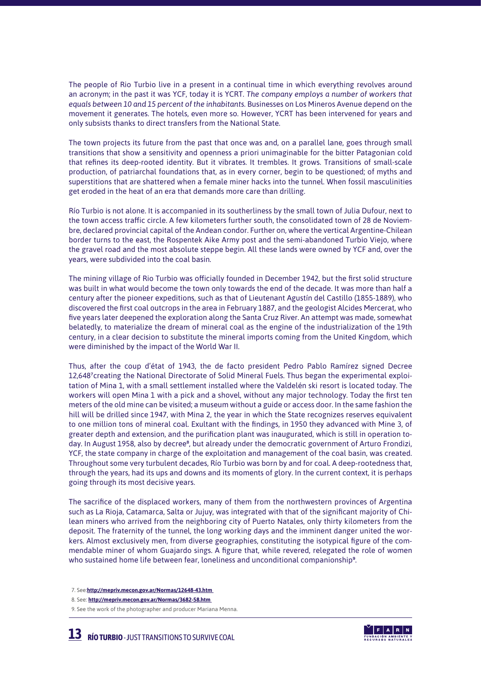The people of Rio Turbio live in a present in a continual time in which everything revolves around an acronym; in the past it was YCF, today it is YCRT. *The company employs a number of workers that equals between 10 and 15 percent of the inhabitants.* Businesses on Los Mineros Avenue depend on the movement it generates. The hotels, even more so. However, YCRT has been intervened for years and only subsists thanks to direct transfers from the National State.

The town projects its future from the past that once was and, on a parallel lane, goes through small transitions that show a sensitivity and openness a priori unimaginable for the bitter Patagonian cold that refines its deep-rooted identity. But it vibrates. It trembles. It grows. Transitions of small-scale production, of patriarchal foundations that, as in every corner, begin to be questioned; of myths and superstitions that are shattered when a female miner hacks into the tunnel. When fossil masculinities get eroded in the heat of an era that demands more care than drilling.

Río Turbio is not alone. It is accompanied in its southerliness by the small town of Julia Dufour, next to the town access traffic circle. A few kilometers further south, the consolidated town of 28 de Noviembre, declared provincial capital of the Andean condor. Further on, where the vertical Argentine-Chilean border turns to the east, the Rospentek Aike Army post and the semi-abandoned Turbio Viejo, where the gravel road and the most absolute steppe begin. All these lands were owned by YCF and, over the years, were subdivided into the coal basin.

The mining village of Rio Turbio was officially founded in December 1942, but the first solid structure was built in what would become the town only towards the end of the decade. It was more than half a century after the pioneer expeditions, such as that of Lieutenant Agustín del Castillo (1855-1889), who discovered the first coal outcrops in the area in February 1887, and the geologist Alcides Mercerat, who five years later deepened the exploration along the Santa Cruz River. An attempt was made, somewhat belatedly, to materialize the dream of mineral coal as the engine of the industrialization of the 19th century, in a clear decision to substitute the mineral imports coming from the United Kingdom, which were diminished by the impact of the World War II.

Thus, after the coup d'état of 1943, the de facto president Pedro Pablo Ramírez signed Decree 12,648<sup>7</sup>creating the National Directorate of Solid Mineral Fuels. Thus began the experimental exploitation of Mina 1, with a small settlement installed where the Valdelén ski resort is located today. The workers will open Mina 1 with a pick and a shovel, without any major technology. Today the first ten meters of the old mine can be visited; a museum without a guide or access door. In the same fashion the hill will be drilled since 1947, with Mina 2, the year in which the State recognizes reserves equivalent to one million tons of mineral coal. Exultant with the findings, in 1950 they advanced with Mine 3, of greater depth and extension, and the purification plant was inaugurated, which is still in operation today. In August 1958, also by decree<sup>8</sup>, but already under the democratic government of Arturo Frondizi, YCF, the state company in charge of the exploitation and management of the coal basin, was created. Throughout some very turbulent decades, Río Turbio was born by and for coal. A deep-rootedness that, through the years, had its ups and downs and its moments of glory. In the current context, it is perhaps going through its most decisive years.

The sacrifice of the displaced workers, many of them from the northwestern provinces of Argentina such as La Rioja, Catamarca, Salta or Jujuy, was integrated with that of the significant majority of Chilean miners who arrived from the neighboring city of Puerto Natales, only thirty kilometers from the deposit. The fraternity of the tunnel, the long working days and the imminent danger united the workers. Almost exclusively men, from diverse geographies, constituting the isotypical figure of the commendable miner of whom Guajardo sings. A figure that, while revered, relegated the role of women who sustained home life between fear, loneliness and unconditional companionship<sup>9</sup>.



 <sup>7.</sup> See:**[http://mepriv.mecon.gov.ar/Normas/12648-43.htm](http://mepriv.mecon.gov.ar/Normas/12648-43.htm )** 

 <sup>8.</sup> See: **[http://mepriv.mecon.gov.ar/Normas/3682-58.htm](http://mepriv.mecon.gov.ar/Normas/3682-58.htm )** 

 <sup>9.</sup> See the work of the photographer and producer Mariana Menna.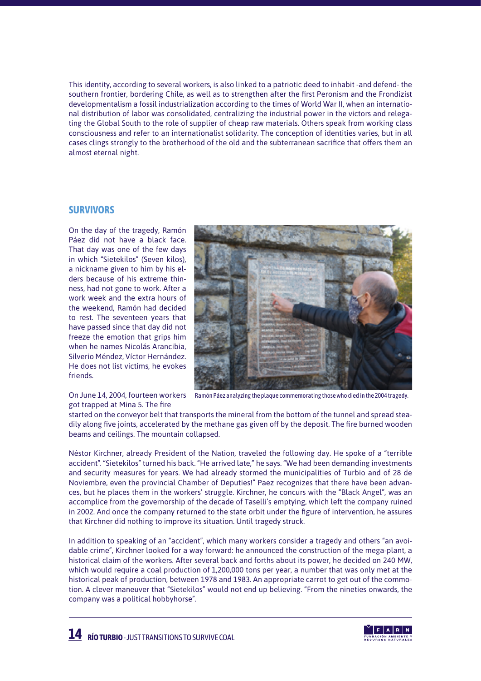This identity, according to several workers, is also linked to a patriotic deed to inhabit -and defend- the southern frontier, bordering Chile, as well as to strengthen after the first Peronism and the Frondizist developmentalism a fossil industrialization according to the times of World War II, when an international distribution of labor was consolidated, centralizing the industrial power in the victors and relegating the Global South to the role of supplier of cheap raw materials. Others speak from working class consciousness and refer to an internationalist solidarity. The conception of identities varies, but in all cases clings strongly to the brotherhood of the old and the subterranean sacrifice that offers them an almost eternal night.

#### **SURVIVORS**

On the day of the tragedy, Ramón Páez did not have a black face. That day was one of the few days in which "Sietekilos" (Seven kilos), a nickname given to him by his elders because of his extreme thinness, had not gone to work. After a work week and the extra hours of the weekend, Ramón had decided to rest. The seventeen years that have passed since that day did not freeze the emotion that grips him when he names Nicolás Arancibia, Silverio Méndez, Víctor Hernández. He does not list victims, he evokes friends.

got trapped at Mina 5. The fire

On June 14, 2004, fourteen workers Ramón Páez analyzing the plaque commemorating those who died in the 2004 tragedy.

started on the conveyor belt that transports the mineral from the bottom of the tunnel and spread steadily along five joints, accelerated by the methane gas given off by the deposit. The fire burned wooden beams and ceilings. The mountain collapsed.

Néstor Kirchner, already President of the Nation, traveled the following day. He spoke of a "terrible accident". "Sietekilos" turned his back. "He arrived late," he says. "We had been demanding investments and security measures for years. We had already stormed the municipalities of Turbio and of 28 de Noviembre, even the provincial Chamber of Deputies!" Paez recognizes that there have been advances, but he places them in the workers' struggle. Kirchner, he concurs with the "Black Angel", was an accomplice from the governorship of the decade of Taselli's emptying, which left the company ruined in 2002. And once the company returned to the state orbit under the figure of intervention, he assures that Kirchner did nothing to improve its situation. Until tragedy struck.

In addition to speaking of an "accident", which many workers consider a tragedy and others "an avoidable crime", Kirchner looked for a way forward: he announced the construction of the mega-plant, a historical claim of the workers. After several back and forths about its power, he decided on 240 MW, which would require a coal production of 1,200,000 tons per year, a number that was only met at the historical peak of production, between 1978 and 1983. An appropriate carrot to get out of the commotion. A clever maneuver that "Sietekilos" would not end up believing. "From the nineties onwards, the company was a political hobbyhorse".



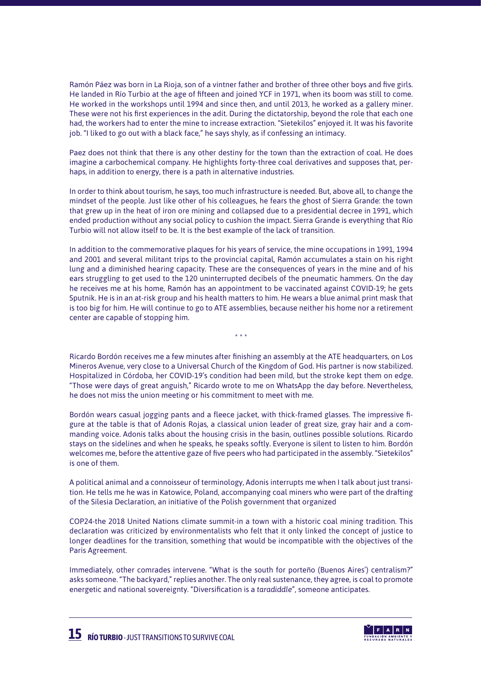Ramón Páez was born in La Rioja, son of a vintner father and brother of three other boys and five girls. He landed in Río Turbio at the age of fifteen and joined YCF in 1971, when its boom was still to come. He worked in the workshops until 1994 and since then, and until 2013, he worked as a gallery miner. These were not his first experiences in the adit. During the dictatorship, beyond the role that each one had, the workers had to enter the mine to increase extraction. "Sietekilos" enjoyed it. It was his favorite job. "I liked to go out with a black face," he says shyly, as if confessing an intimacy.

Paez does not think that there is any other destiny for the town than the extraction of coal. He does imagine a carbochemical company. He highlights forty-three coal derivatives and supposes that, perhaps, in addition to energy, there is a path in alternative industries.

In order to think about tourism, he says, too much infrastructure is needed. But, above all, to change the mindset of the people. Just like other of his colleagues, he fears the ghost of Sierra Grande: the town that grew up in the heat of iron ore mining and collapsed due to a presidential decree in 1991, which ended production without any social policy to cushion the impact. Sierra Grande is everything that Río Turbio will not allow itself to be. It is the best example of the lack of transition.

In addition to the commemorative plaques for his years of service, the mine occupations in 1991, 1994 and 2001 and several militant trips to the provincial capital, Ramón accumulates a stain on his right lung and a diminished hearing capacity. These are the consequences of years in the mine and of his ears struggling to get used to the 120 uninterrupted decibels of the pneumatic hammers. On the day he receives me at his home, Ramón has an appointment to be vaccinated against COVID-19; he gets Sputnik. He is in an at-risk group and his health matters to him. He wears a blue animal print mask that is too big for him. He will continue to go to ATE assemblies, because neither his home nor a retirement center are capable of stopping him.

Ricardo Bordón receives me a few minutes after finishing an assembly at the ATE headquarters, on Los Mineros Avenue, very close to a Universal Church of the Kingdom of God. His partner is now stabilized. Hospitalized in Córdoba, her COVID-19's condition had been mild, but the stroke kept them on edge. "Those were days of great anguish," Ricardo wrote to me on WhatsApp the day before. Nevertheless, he does not miss the union meeting or his commitment to meet with me.

\* \* \*

Bordón wears casual jogging pants and a fleece jacket, with thick-framed glasses. The impressive figure at the table is that of Adonis Rojas, a classical union leader of great size, gray hair and a commanding voice. Adonis talks about the housing crisis in the basin, outlines possible solutions. Ricardo stays on the sidelines and when he speaks, he speaks softly. Everyone is silent to listen to him. Bordón welcomes me, before the attentive gaze of five peers who had participated in the assembly. "Sietekilos" is one of them.

A political animal and a connoisseur of terminology, Adonis interrupts me when I talk about just transition. He tells me he was in Katowice, Poland, accompanying coal miners who were part of the drafting of the Silesia Declaration, an initiative of the Polish government that organized

COP24-the 2018 United Nations climate summit-in a town with a historic coal mining tradition. This declaration was criticized by environmentalists who felt that it only linked the concept of justice to longer deadlines for the transition, something that would be incompatible with the objectives of the Paris Agreement.

Immediately, other comrades intervene. "What is the south for porteño (Buenos Aires') centralism?" asks someone. "The backyard," replies another. The only real sustenance, they agree, is coal to promote energetic and national sovereignty. "Diversification is a *taradiddle*", someone anticipates.

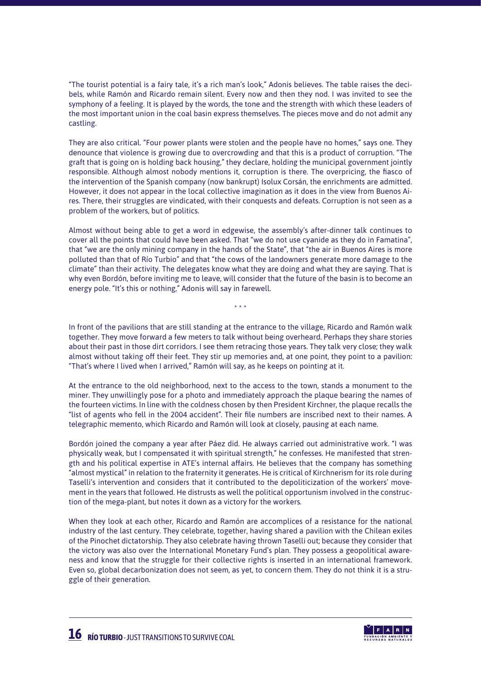"The tourist potential is a fairy tale, it's a rich man's look," Adonis believes. The table raises the decibels, while Ramón and Ricardo remain silent. Every now and then they nod. I was invited to see the symphony of a feeling. It is played by the words, the tone and the strength with which these leaders of the most important union in the coal basin express themselves. The pieces move and do not admit any castling.

They are also critical. "Four power plants were stolen and the people have no homes," says one. They denounce that violence is growing due to overcrowding and that this is a product of corruption. "The graft that is going on is holding back housing," they declare, holding the municipal government jointly responsible. Although almost nobody mentions it, corruption is there. The overpricing, the fiasco of the intervention of the Spanish company (now bankrupt) Isolux Corsán, the enrichments are admitted. However, it does not appear in the local collective imagination as it does in the view from Buenos Aires. There, their struggles are vindicated, with their conquests and defeats. Corruption is not seen as a problem of the workers, but of politics.

Almost without being able to get a word in edgewise, the assembly's after-dinner talk continues to cover all the points that could have been asked. That "we do not use cyanide as they do in Famatina", that "we are the only mining company in the hands of the State", that "the air in Buenos Aires is more polluted than that of Río Turbio" and that "the cows of the landowners generate more damage to the climate" than their activity. The delegates know what they are doing and what they are saying. That is why even Bordón, before inviting me to leave, will consider that the future of the basin is to become an energy pole. "It's this or nothing," Adonis will say in farewell.

In front of the pavilions that are still standing at the entrance to the village, Ricardo and Ramón walk together. They move forward a few meters to talk without being overheard. Perhaps they share stories about their past in those dirt corridors. I see them retracing those years. They talk very close; they walk almost without taking off their feet. They stir up memories and, at one point, they point to a pavilion: "That's where I lived when I arrived," Ramón will say, as he keeps on pointing at it.

\* \* \*

At the entrance to the old neighborhood, next to the access to the town, stands a monument to the miner. They unwillingly pose for a photo and immediately approach the plaque bearing the names of the fourteen victims. In line with the coldness chosen by then President Kirchner, the plaque recalls the "list of agents who fell in the 2004 accident". Their file numbers are inscribed next to their names. A telegraphic memento, which Ricardo and Ramón will look at closely, pausing at each name.

Bordón joined the company a year after Páez did. He always carried out administrative work. "I was physically weak, but I compensated it with spiritual strength," he confesses. He manifested that strength and his political expertise in ATE's internal affairs. He believes that the company has something "almost mystical" in relation to the fraternity it generates. He is critical of Kirchnerism for its role during Taselli's intervention and considers that it contributed to the depoliticization of the workers' movement in the years that followed. He distrusts as well the political opportunism involved in the construction of the mega-plant, but notes it down as a victory for the workers.

When they look at each other, Ricardo and Ramón are accomplices of a resistance for the national industry of the last century. They celebrate, together, having shared a pavilion with the Chilean exiles of the Pinochet dictatorship. They also celebrate having thrown Taselli out; because they consider that the victory was also over the International Monetary Fund's plan. They possess a geopolitical awareness and know that the struggle for their collective rights is inserted in an international framework. Even so, global decarbonization does not seem, as yet, to concern them. They do not think it is a struggle of their generation.

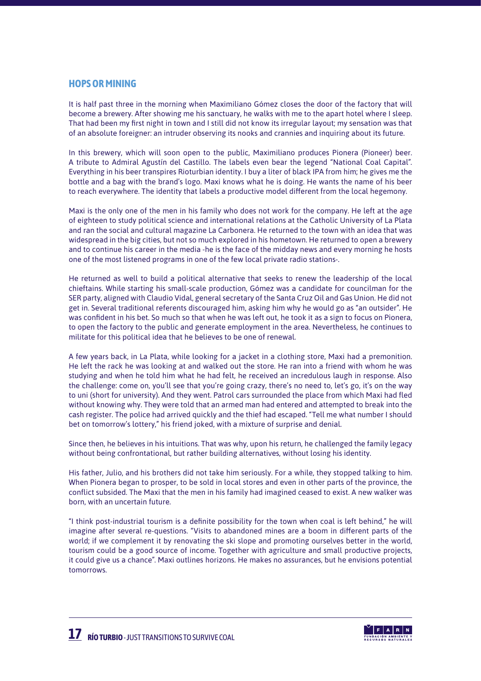#### **HOPS OR MINING**

It is half past three in the morning when Maximiliano Gómez closes the door of the factory that will become a brewery. After showing me his sanctuary, he walks with me to the apart hotel where I sleep. That had been my first night in town and I still did not know its irregular layout; my sensation was that of an absolute foreigner: an intruder observing its nooks and crannies and inquiring about its future.

In this brewery, which will soon open to the public, Maximiliano produces Pionera (Pioneer) beer. A tribute to Admiral Agustín del Castillo. The labels even bear the legend "National Coal Capital". Everything in his beer transpires Rioturbian identity. I buy a liter of black IPA from him; he gives me the bottle and a bag with the brand's logo. Maxi knows what he is doing. He wants the name of his beer to reach everywhere. The identity that labels a productive model different from the local hegemony.

Maxi is the only one of the men in his family who does not work for the company. He left at the age of eighteen to study political science and international relations at the Catholic University of La Plata and ran the social and cultural magazine La Carbonera. He returned to the town with an idea that was widespread in the big cities, but not so much explored in his hometown. He returned to open a brewery and to continue his career in the media -he is the face of the midday news and every morning he hosts one of the most listened programs in one of the few local private radio stations-.

He returned as well to build a political alternative that seeks to renew the leadership of the local chieftains. While starting his small-scale production, Gómez was a candidate for councilman for the SER party, aligned with Claudio Vidal, general secretary of the Santa Cruz Oil and Gas Union. He did not get in. Several traditional referents discouraged him, asking him why he would go as "an outsider". He was confident in his bet. So much so that when he was left out, he took it as a sign to focus on Pionera, to open the factory to the public and generate employment in the area. Nevertheless, he continues to militate for this political idea that he believes to be one of renewal.

A few years back, in La Plata, while looking for a jacket in a clothing store, Maxi had a premonition. He left the rack he was looking at and walked out the store. He ran into a friend with whom he was studying and when he told him what he had felt, he received an incredulous laugh in response. Also the challenge: come on, you'll see that you're going crazy, there's no need to, let's go, it's on the way to uni (short for university). And they went. Patrol cars surrounded the place from which Maxi had fled without knowing why. They were told that an armed man had entered and attempted to break into the cash register. The police had arrived quickly and the thief had escaped. "Tell me what number I should bet on tomorrow's lottery," his friend joked, with a mixture of surprise and denial.

Since then, he believes in his intuitions. That was why, upon his return, he challenged the family legacy without being confrontational, but rather building alternatives, without losing his identity.

His father, Julio, and his brothers did not take him seriously. For a while, they stopped talking to him. When Pionera began to prosper, to be sold in local stores and even in other parts of the province, the conflict subsided. The Maxi that the men in his family had imagined ceased to exist. A new walker was born, with an uncertain future.

"I think post-industrial tourism is a definite possibility for the town when coal is left behind," he will imagine after several re-questions. "Visits to abandoned mines are a boom in different parts of the world; if we complement it by renovating the ski slope and promoting ourselves better in the world, tourism could be a good source of income. Together with agriculture and small productive projects, it could give us a chance". Maxi outlines horizons. He makes no assurances, but he envisions potential tomorrows.

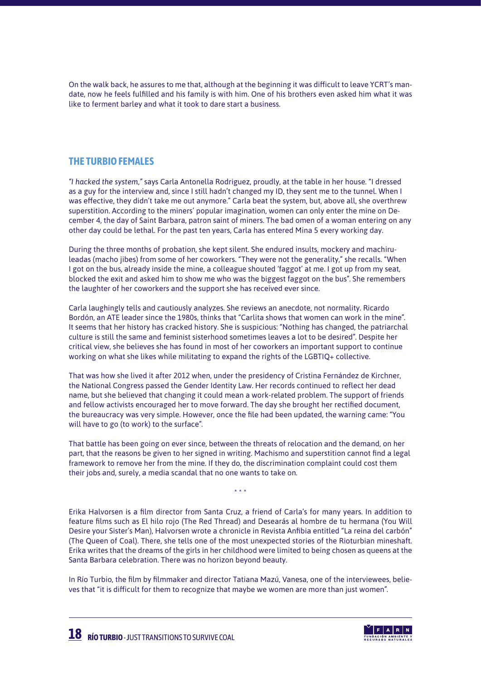On the walk back, he assures to me that, although at the beginning it was difficult to leave YCRT's mandate, now he feels fulfilled and his family is with him. One of his brothers even asked him what it was like to ferment barley and what it took to dare start a business.

#### **THE TURBIO FEMALES**

*"I hacked the system,"* says Carla Antonella Rodriguez, proudly, at the table in her house. "I dressed as a guy for the interview and, since I still hadn't changed my ID, they sent me to the tunnel. When I was effective, they didn't take me out anymore." Carla beat the system, but, above all, she overthrew superstition. According to the miners' popular imagination, women can only enter the mine on December 4, the day of Saint Barbara, patron saint of miners. The bad omen of a woman entering on any other day could be lethal. For the past ten years, Carla has entered Mina 5 every working day.

During the three months of probation, she kept silent. She endured insults, mockery and machiruleadas (macho jibes) from some of her coworkers. "They were not the generality," she recalls. "When I got on the bus, already inside the mine, a colleague shouted 'faggot' at me. I got up from my seat, blocked the exit and asked him to show me who was the biggest faggot on the bus". She remembers the laughter of her coworkers and the support she has received ever since.

Carla laughingly tells and cautiously analyzes. She reviews an anecdote, not normality. Ricardo Bordón, an ATE leader since the 1980s, thinks that "Carlita shows that women can work in the mine". It seems that her history has cracked history. She is suspicious: "Nothing has changed, the patriarchal culture is still the same and feminist sisterhood sometimes leaves a lot to be desired". Despite her critical view, she believes she has found in most of her coworkers an important support to continue working on what she likes while militating to expand the rights of the LGBTIQ+ collective.

That was how she lived it after 2012 when, under the presidency of Cristina Fernández de Kirchner, the National Congress passed the Gender Identity Law. Her records continued to reflect her dead name, but she believed that changing it could mean a work-related problem. The support of friends and fellow activists encouraged her to move forward. The day she brought her rectified document, the bureaucracy was very simple. However, once the file had been updated, the warning came: "You will have to go (to work) to the surface".

That battle has been going on ever since, between the threats of relocation and the demand, on her part, that the reasons be given to her signed in writing. Machismo and superstition cannot find a legal framework to remove her from the mine. If they do, the discrimination complaint could cost them their jobs and, surely, a media scandal that no one wants to take on.

\* \* \*

Erika Halvorsen is a film director from Santa Cruz, a friend of Carla's for many years. In addition to feature films such as El hilo rojo (The Red Thread) and Desearás al hombre de tu hermana (You Will Desire your Sister's Man), Halvorsen wrote a chronicle in Revista Anfibia entitled "La reina del carbón" (The Queen of Coal). There, she tells one of the most unexpected stories of the Rioturbian mineshaft. Erika writes that the dreams of the girls in her childhood were limited to being chosen as queens at the Santa Barbara celebration. There was no horizon beyond beauty.

In Río Turbio, the film by filmmaker and director Tatiana Mazú, Vanesa, one of the interviewees, believes that "it is difficult for them to recognize that maybe we women are more than just women".

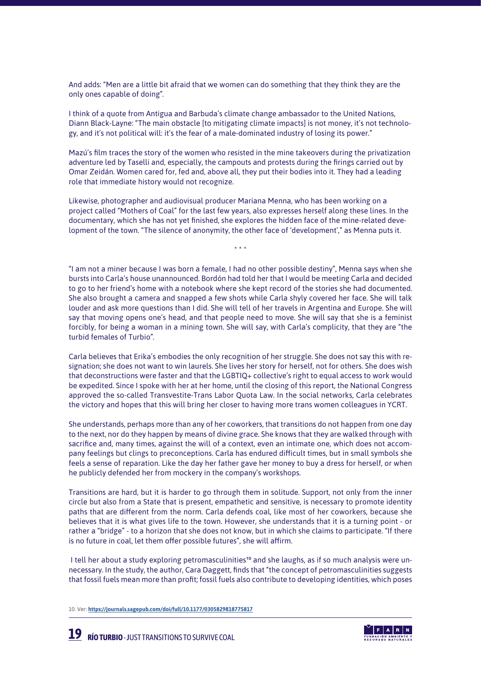And adds: "Men are a little bit afraid that we women can do something that they think they are the only ones capable of doing".

I think of a quote from Antigua and Barbuda's climate change ambassador to the United Nations, Diann Black-Layne: "The main obstacle [to mitigating climate impacts] is not money, it's not technology, and it's not political will: it's the fear of a male-dominated industry of losing its power."

Mazú's film traces the story of the women who resisted in the mine takeovers during the privatization adventure led by Taselli and, especially, the campouts and protests during the firings carried out by Omar Zeidán. Women cared for, fed and, above all, they put their bodies into it. They had a leading role that immediate history would not recognize.

Likewise, photographer and audiovisual producer Mariana Menna, who has been working on a project called "Mothers of Coal" for the last few years, also expresses herself along these lines. In the documentary, which she has not yet finished, she explores the hidden face of the mine-related development of the town. "The silence of anonymity, the other face of 'development'," as Menna puts it.

\* \* \*

"I am not a miner because I was born a female, I had no other possible destiny", Menna says when she bursts into Carla's house unannounced. Bordón had told her that I would be meeting Carla and decided to go to her friend's home with a notebook where she kept record of the stories she had documented. She also brought a camera and snapped a few shots while Carla shyly covered her face. She will talk louder and ask more questions than I did. She will tell of her travels in Argentina and Europe. She will say that moving opens one's head, and that people need to move. She will say that she is a feminist forcibly, for being a woman in a mining town. She will say, with Carla's complicity, that they are "the turbid females of Turbio".

Carla believes that Erika's embodies the only recognition of her struggle. She does not say this with resignation; she does not want to win laurels. She lives her story for herself, not for others. She does wish that deconstructions were faster and that the LGBTIQ+ collective's right to equal access to work would be expedited. Since I spoke with her at her home, until the closing of this report, the National Congress approved the so-called Transvestite-Trans Labor Quota Law. In the social networks, Carla celebrates the victory and hopes that this will bring her closer to having more trans women colleagues in YCRT.

She understands, perhaps more than any of her coworkers, that transitions do not happen from one day to the next, nor do they happen by means of divine grace. She knows that they are walked through with sacrifice and, many times, against the will of a context, even an intimate one, which does not accompany feelings but clings to preconceptions. Carla has endured difficult times, but in small symbols she feels a sense of reparation. Like the day her father gave her money to buy a dress for herself, or when he publicly defended her from mockery in the company's workshops.

Transitions are hard, but it is harder to go through them in solitude. Support, not only from the inner circle but also from a State that is present, empathetic and sensitive, is necessary to promote identity paths that are different from the norm. Carla defends coal, like most of her coworkers, because she believes that it is what gives life to the town. However, she understands that it is a turning point - or rather a "bridge" - to a horizon that she does not know, but in which she claims to participate. "If there is no future in coal, let them offer possible futures", she will affirm.

I tell her about a study exploring petromasculinities<sup>10</sup> and she laughs, as if so much analysis were unnecessary. In the study, the author, Cara Daggett, finds that "the concept of petromasculinities suggests that fossil fuels mean more than profit; fossil fuels also contribute to developing identities, which poses

10. Ver: **<https://journals.sagepub.com/doi/full/10.1177/0305829818775817>**



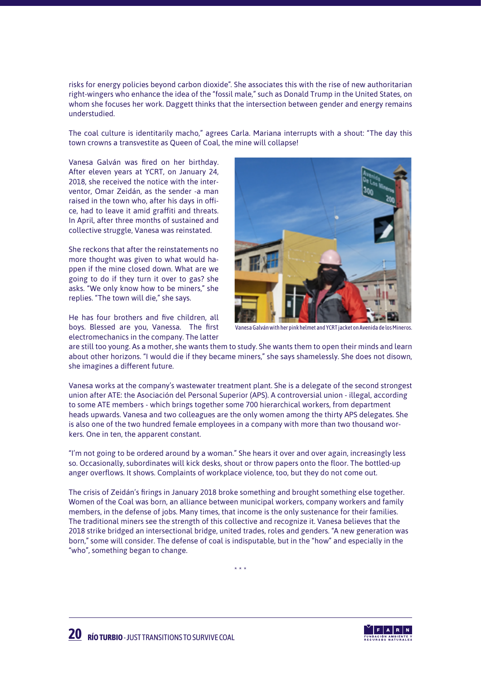risks for energy policies beyond carbon dioxide". She associates this with the rise of new authoritarian right-wingers who enhance the idea of the "fossil male," such as Donald Trump in the United States, on whom she focuses her work. Daggett thinks that the intersection between gender and energy remains understudied.

The coal culture is identitarily macho," agrees Carla. Mariana interrupts with a shout: "The day this town crowns a transvestite as Queen of Coal, the mine will collapse!

Vanesa Galván was fired on her birthday. After eleven years at YCRT, on January 24, 2018, she received the notice with the interventor, Omar Zeidán, as the sender -a man raised in the town who, after his days in office, had to leave it amid graffiti and threats. In April, after three months of sustained and collective struggle, Vanesa was reinstated.

She reckons that after the reinstatements no more thought was given to what would happen if the mine closed down. What are we going to do if they turn it over to gas? she asks. "We only know how to be miners," she replies. "The town will die," she says.

He has four brothers and five children, all boys. Blessed are you, Vanessa. The first electromechanics in the company. The latter



Vanesa Galván with her pink helmet and YCRT jacket on Avenida de los Mineros.

are still too young. As a mother, she wants them to study. She wants them to open their minds and learn about other horizons. "I would die if they became miners," she says shamelessly. She does not disown, she imagines a different future.

Vanesa works at the company's wastewater treatment plant. She is a delegate of the second strongest union after ATE: the Asociación del Personal Superior (APS). A controversial union - illegal, according to some ATE members - which brings together some 700 hierarchical workers, from department heads upwards. Vanesa and two colleagues are the only women among the thirty APS delegates. She is also one of the two hundred female employees in a company with more than two thousand workers. One in ten, the apparent constant.

"I'm not going to be ordered around by a woman." She hears it over and over again, increasingly less so. Occasionally, subordinates will kick desks, shout or throw papers onto the floor. The bottled-up anger overflows. It shows. Complaints of workplace violence, too, but they do not come out.

The crisis of Zeidán's firings in January 2018 broke something and brought something else together. Women of the Coal was born, an alliance between municipal workers, company workers and family members, in the defense of jobs. Many times, that income is the only sustenance for their families. The traditional miners see the strength of this collective and recognize it. Vanesa believes that the 2018 strike bridged an intersectional bridge, united trades, roles and genders. "A new generation was born," some will consider. The defense of coal is indisputable, but in the "how" and especially in the "who", something began to change.

\* \* \*

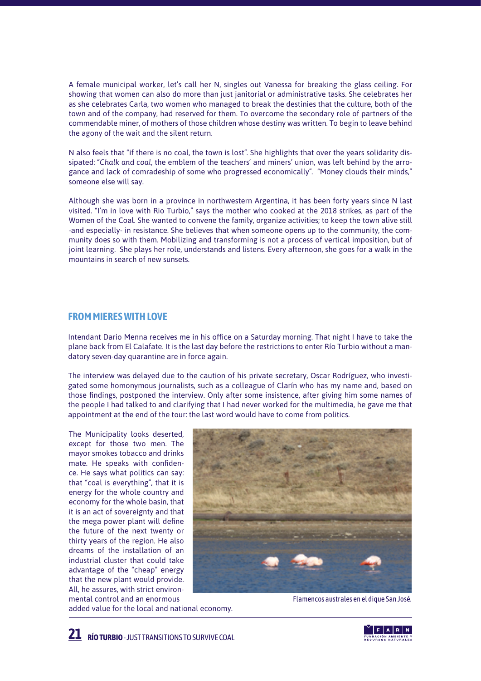A female municipal worker, let's call her N, singles out Vanessa for breaking the glass ceiling. For showing that women can also do more than just janitorial or administrative tasks. She celebrates her as she celebrates Carla, two women who managed to break the destinies that the culture, both of the town and of the company, had reserved for them. To overcome the secondary role of partners of the commendable miner, of mothers of those children whose destiny was written. To begin to leave behind the agony of the wait and the silent return.

N also feels that "if there is no coal, the town is lost". She highlights that over the years solidarity dissipated: "*Chalk and coal*, the emblem of the teachers' and miners' union, was left behind by the arrogance and lack of comradeship of some who progressed economically". "Money clouds their minds," someone else will say.

Although she was born in a province in northwestern Argentina, it has been forty years since N last visited. "I'm in love with Rio Turbio," says the mother who cooked at the 2018 strikes, as part of the Women of the Coal. She wanted to convene the family, organize activities; to keep the town alive still -and especially- in resistance. She believes that when someone opens up to the community, the community does so with them. Mobilizing and transforming is not a process of vertical imposition, but of joint learning. She plays her role, understands and listens. Every afternoon, she goes for a walk in the mountains in search of new sunsets.

#### **FROM MIERES WITH LOVE**

Intendant Dario Menna receives me in his office on a Saturday morning. That night I have to take the plane back from El Calafate. It is the last day before the restrictions to enter Río Turbio without a mandatory seven-day quarantine are in force again.

The interview was delayed due to the caution of his private secretary, Oscar Rodríguez, who investigated some homonymous journalists, such as a colleague of Clarín who has my name and, based on those findings, postponed the interview. Only after some insistence, after giving him some names of the people I had talked to and clarifying that I had never worked for the multimedia, he gave me that appointment at the end of the tour: the last word would have to come from politics.

The Municipality looks deserted, except for those two men. The mayor smokes tobacco and drinks mate. He speaks with confidence. He says what politics can say: that "coal is everything", that it is energy for the whole country and economy for the whole basin, that it is an act of sovereignty and that the mega power plant will define the future of the next twenty or thirty years of the region. He also dreams of the installation of an industrial cluster that could take advantage of the "cheap" energy that the new plant would provide. All, he assures, with strict environmental control and an enormous



added value for the local and national economy.

Flamencos australes en el dique San José.

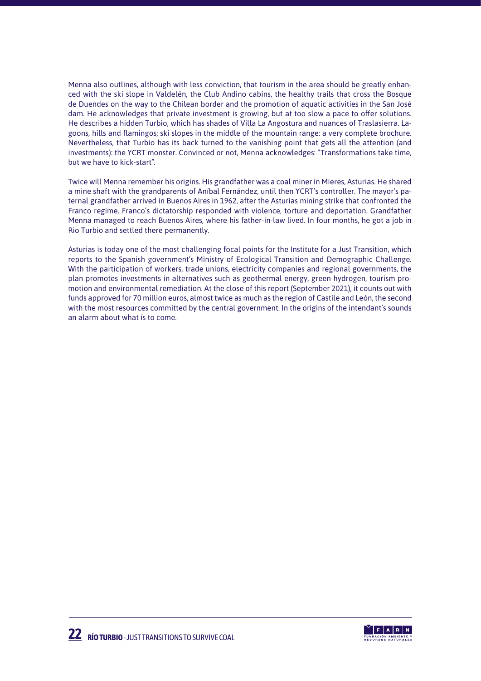Menna also outlines, although with less conviction, that tourism in the area should be greatly enhanced with the ski slope in Valdelén, the Club Andino cabins, the healthy trails that cross the Bosque de Duendes on the way to the Chilean border and the promotion of aquatic activities in the San José dam. He acknowledges that private investment is growing, but at too slow a pace to offer solutions. He describes a hidden Turbio, which has shades of Villa La Angostura and nuances of Traslasierra. Lagoons, hills and flamingos; ski slopes in the middle of the mountain range: a very complete brochure. Nevertheless, that Turbio has its back turned to the vanishing point that gets all the attention (and investments): the YCRT monster. Convinced or not, Menna acknowledges: "Transformations take time, but we have to kick-start".

Twice will Menna remember his origins. His grandfather was a coal miner in Mieres, Asturias. He shared a mine shaft with the grandparents of Aníbal Fernández, until then YCRT's controller. The mayor's paternal grandfather arrived in Buenos Aires in 1962, after the Asturias mining strike that confronted the Franco regime. Franco's dictatorship responded with violence, torture and deportation. Grandfather Menna managed to reach Buenos Aires, where his father-in-law lived. In four months, he got a job in Rio Turbio and settled there permanently.

Asturias is today one of the most challenging focal points for the Institute for a Just Transition, which reports to the Spanish government's Ministry of Ecological Transition and Demographic Challenge. With the participation of workers, trade unions, electricity companies and regional governments, the plan promotes investments in alternatives such as geothermal energy, green hydrogen, tourism promotion and environmental remediation. At the close of this report (September 2021), it counts out with funds approved for 70 million euros, almost twice as much as the region of Castile and León, the second with the most resources committed by the central government. In the origins of the intendant's sounds an alarm about what is to come.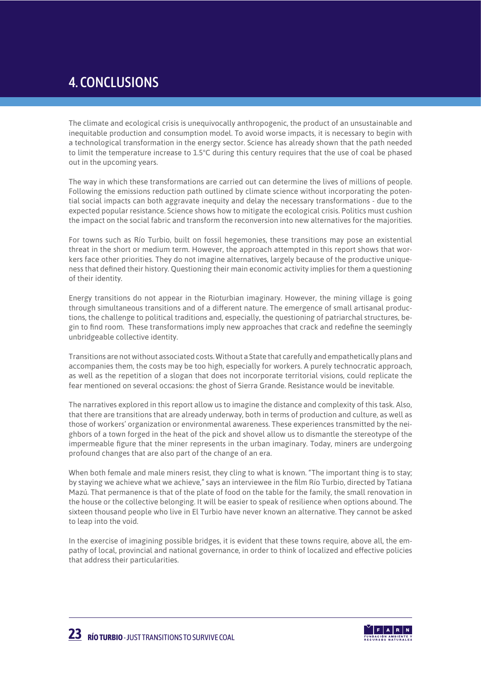# 4. CONCLUSIONS

The climate and ecological crisis is unequivocally anthropogenic, the product of an unsustainable and inequitable production and consumption model. To avoid worse impacts, it is necessary to begin with a technological transformation in the energy sector. Science has already shown that the path needed to limit the temperature increase to 1.5°C during this century requires that the use of coal be phased out in the upcoming years.

The way in which these transformations are carried out can determine the lives of millions of people. Following the emissions reduction path outlined by climate science without incorporating the potential social impacts can both aggravate inequity and delay the necessary transformations - due to the expected popular resistance. Science shows how to mitigate the ecological crisis. Politics must cushion the impact on the social fabric and transform the reconversion into new alternatives for the majorities.

For towns such as Río Turbio, built on fossil hegemonies, these transitions may pose an existential threat in the short or medium term. However, the approach attempted in this report shows that workers face other priorities. They do not imagine alternatives, largely because of the productive uniqueness that defined their history. Questioning their main economic activity implies for them a questioning of their identity.

Energy transitions do not appear in the Rioturbian imaginary. However, the mining village is going through simultaneous transitions and of a different nature. The emergence of small artisanal productions, the challenge to political traditions and, especially, the questioning of patriarchal structures, begin to find room. These transformations imply new approaches that crack and redefine the seemingly unbridgeable collective identity.

Transitions are not without associated costs. Without a State that carefully and empathetically plans and accompanies them, the costs may be too high, especially for workers. A purely technocratic approach, as well as the repetition of a slogan that does not incorporate territorial visions, could replicate the fear mentioned on several occasions: the ghost of Sierra Grande. Resistance would be inevitable.

The narratives explored in this report allow us to imagine the distance and complexity of this task. Also, that there are transitions that are already underway, both in terms of production and culture, as well as those of workers' organization or environmental awareness. These experiences transmitted by the neighbors of a town forged in the heat of the pick and shovel allow us to dismantle the stereotype of the impermeable figure that the miner represents in the urban imaginary. Today, miners are undergoing profound changes that are also part of the change of an era.

When both female and male miners resist, they cling to what is known. "The important thing is to stay; by staying we achieve what we achieve," says an interviewee in the film Río Turbio, directed by Tatiana Mazú. That permanence is that of the plate of food on the table for the family, the small renovation in the house or the collective belonging. It will be easier to speak of resilience when options abound. The sixteen thousand people who live in El Turbio have never known an alternative. They cannot be asked to leap into the void.

In the exercise of imagining possible bridges, it is evident that these towns require, above all, the empathy of local, provincial and national governance, in order to think of localized and effective policies that address their particularities.

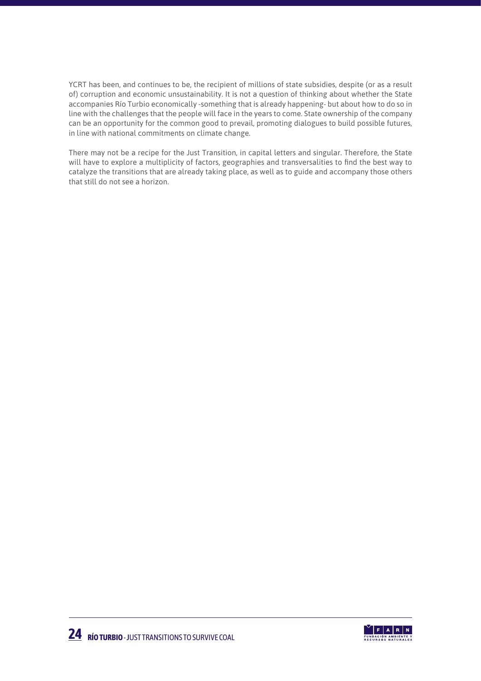YCRT has been, and continues to be, the recipient of millions of state subsidies, despite (or as a result of) corruption and economic unsustainability. It is not a question of thinking about whether the State accompanies Río Turbio economically -something that is already happening- but about how to do so in line with the challenges that the people will face in the years to come. State ownership of the company can be an opportunity for the common good to prevail, promoting dialogues to build possible futures, in line with national commitments on climate change.

There may not be a recipe for the Just Transition, in capital letters and singular. Therefore, the State will have to explore a multiplicity of factors, geographies and transversalities to find the best way to catalyze the transitions that are already taking place, as well as to guide and accompany those others that still do not see a horizon.